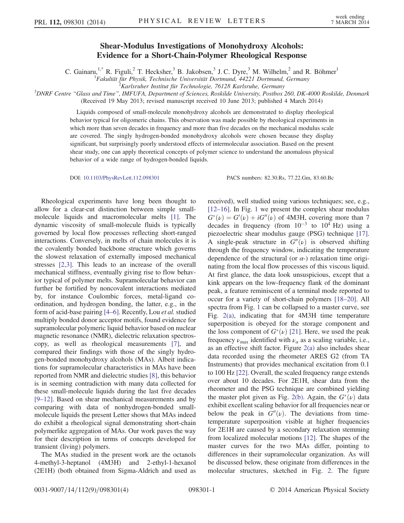## Shear-Modulus Investigations of Monohydroxy Alcohols: Evidence for a Short-Chain-Polymer Rheological Response

C. Gainaru,<sup>1[,\\*](#page-3-0)</sup> R. Figuli,<sup>2</sup> T. Hecksher,<sup>3</sup> B. Jakobsen,<sup>3</sup> J. C. Dyre,<sup>3</sup> M. Wilhelm,<sup>2</sup> and R. Böhmer<sup>1</sup>

<sup>1</sup> Fakultät für Physik, Technische Universität Dortmund, 44221 Dortmund, Germany<br><sup>2</sup> Karlsruhar Institut für Technologia, 76128 Karlsruha, Germany

<span id="page-0-0"></span>Karlsruher Institut für Technologie, 76128 Karlsruhe, Germany<sup>2</sup> Kantsruhe, Germany<br>3DNRF Centre "Glass and Time", IMFUFA, Department of Sciences, Roskilde University, Postbox 260, DK-4000 Roskilde, Denmark

(Received 19 May 2013; revised manuscript received 10 June 2013; published 4 March 2014)

Liquids composed of small-molecule monohydroxy alcohols are demonstrated to display rheological behavior typical for oligomeric chains. This observation was made possible by rheological experiments in which more than seven decades in frequency and more than five decades on the mechanical modulus scale are covered. The singly hydrogen-bonded monohydroxy alcohols were chosen because they display significant, but surprisingly poorly understood effects of intermolecular association. Based on the present shear study, one can apply theoretical concepts of polymer science to understand the anomalous physical behavior of a wide range of hydrogen-bonded liquids.

DOI: [10.1103/PhysRevLett.112.098301](http://dx.doi.org/10.1103/PhysRevLett.112.098301) PACS numbers: 82.30.Rs, 77.22.Gm, 83.60.Bc

Rheological experiments have long been thought to allow for a clear-cut distinction between simple smallmolecule liquids and macromolecular melts [\[1\]](#page-3-1). The dynamic viscosity of small-molecule fluids is typically governed by local flow processes reflecting short-ranged interactions. Conversely, in melts of chain molecules it is the covalently bonded backbone structure which governs the slowest relaxation of externally imposed mechanical stresses [\[2,3\].](#page-3-2) This leads to an increase of the overall mechanical stiffness, eventually giving rise to flow behavior typical of polymer melts. Supramolecular behavior can further be fortified by noncovalent interactions mediated by, for instance Coulombic forces, metal-ligand coordination, and hydrogen bonding, the latter, e.g., in the form of acid-base pairing [4–[6\]](#page-3-3). Recently, Lou et al. studied multiply bonded donor acceptor motifs, found evidence for supramolecular polymeric liquid behavior based on nuclear magnetic resonance (NMR), dielectric relaxation spectroscopy, as well as rheological measurements [\[7\],](#page-3-4) and compared their findings with those of the singly hydrogen-bonded monohydroxy alcohols (MAs). Albeit indications for supramolecular characteristics in MAs have been reported from NMR and dielectric studies [\[8\],](#page-3-5) this behavior is in seeming contradiction with many data collected for these small-molecule liquids during the last five decades [9–[12\].](#page-3-6) Based on shear mechanical measurements and by comparing with data of nonhydrogen-bonded smallmolecule liquids the present Letter shows that MAs indeed do exhibit a rheological signal demonstrating short-chain polymerlike aggregation of MAs. Our work paves the way for their description in terms of concepts developed for transient (living) polymers.

The MAs studied in the present work are the octanols 4-methyl-3-heptanol (4M3H) and 2-ethyl-1-hexanol (2E1H) (both obtained from Sigma-Aldrich and used as received), well studied using various techniques; see, e.g., [\[12](#page-3-7)–16]. In Fig. [1](#page-1-0) we present the complex shear modulus  $G^*(v) = G'(v) + iG''(v)$  of 4M3H, covering more than 7 decades in frequency (from  $10^{-3}$  to  $10^{4}$  Hz) using a piezoelectric shear modulus gauge (PSG) technique [\[17\]](#page-3-8). A single-peak structure in  $G''(v)$  is observed shifting through the frequency window, indicating the temperature dependence of the structural (or  $\alpha$ -) relaxation time originating from the local flow processes of this viscous liquid. At first glance, the data look unsuspicious, except that a kink appears on the low-frequency flank of the dominant peak, a feature reminiscent of a terminal mode reported to occur for a variety of short-chain polymers [18–[20\].](#page-3-9) All spectra from Fig. [1](#page-1-0) can be collapsed to a master curve, see Fig. [2\(a\),](#page-1-1) indicating that for 4M3H time temperature superposition is obeyed for the storage component and the loss component of  $G^*(\nu)$  [\[21\]](#page-3-10). Here, we used the peak frequency  $\nu_{\text{max}}$  identified with  $\nu_{\alpha}$  as a scaling variable, i.e., as an effective shift factor. Figure [2\(a\)](#page-1-1) also includes shear data recorded using the rheometer ARES G2 (from TA Instruments) that provides mechanical excitation from 0.1 to 100 Hz [\[22\]](#page-3-11). Overall, the scaled frequency range extends over about 10 decades. For 2E1H, shear data from the rheometer and the PSG technique are combined yielding the master plot given as Fig. [2\(b\)](#page-1-1). Again, the  $G^*(v)$  data exhibit excellent scaling behavior for all frequencies near or below the peak in  $G''(\nu)$ . The deviations from timetemperature superposition visible at higher frequencies for 2E1H are caused by a secondary relaxation stemming from localized molecular motions [\[12\]](#page-3-7). The shapes of the master curves for the two MAs differ, pointing to differences in their supramolecular organization. As will be discussed below, these originate from differences in the molecular structures, sketched in Fig. [2](#page-1-1). The figure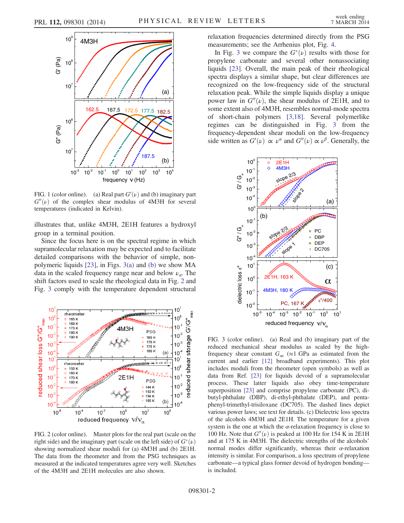<span id="page-1-0"></span>

FIG. 1 (color online). (a) Real part  $G'(\nu)$  and (b) imaginary part  $G''(\nu)$  of the complex shear modulus of 4M3H for several temperatures (indicated in Kelvin).

illustrates that, unlike 4M3H, 2E1H features a hydroxyl group in a terminal position.

Since the focus here is on the spectral regime in which supramolecular relaxation may be expected and to facilitate detailed comparisons with the behavior of simple, nonpolymeric liquids [\[23\],](#page-3-12) in Figs. [3\(a\)](#page-1-2) and [\(b\)](#page-1-2) we show MA data in the scaled frequency range near and below  $\nu_a$ . The shift factors used to scale the rheological data in Fig. [2](#page-1-1) and Fig. [3](#page-1-2) comply with the temperature dependent structural

<span id="page-1-1"></span>

FIG. 2 (color online). Master plots for the real part (scale on the right side) and the imaginary part (scale on the left side) of  $G^*(v)$ showing normalized shear moduli for (a) 4M3H and (b) 2E1H. The data from the rheometer and from the PSG techniques as measured at the indicated temperatures agree very well. Sketches of the 4M3H and 2E1H molecules are also shown.

relaxation frequencies determined directly from the PSG measurements; see the Arrhenius plot, Fig. [4](#page-2-0).

In Fig. [3](#page-1-2) we compare the  $G^*(v)$  results with those for propylene carbonate and several other nonassociating liquids [\[23\]](#page-3-12). Overall, the main peak of their rheological spectra displays a similar shape, but clear differences are recognized on the low-frequency side of the structural relaxation peak. While the simple liquids display a unique power law in  $G''(\nu)$ , the shear modulus of 2E1H, and to some extent also of 4M3H, resembles normal-mode spectra of short-chain polymers [\[3,18\].](#page-3-13) Several polymerlike regimes can be distinguished in Fig. [3](#page-1-2) from the frequency-dependent shear moduli on the low-frequency side written as  $G'(\nu) \propto \nu^{\alpha}$  and  $G''(\nu) \propto \nu^{\beta}$ . Generally, the

<span id="page-1-2"></span>

FIG. 3 (color online). (a) Real and (b) imaginary part of the reduced mechanical shear modulus as scaled by the highfrequency shear constant  $G_{\infty}$  (≈1 GPa as estimated from the current and earlier [\[12\]](#page-3-7) broadband experiments). This plot includes moduli from the rheometer (open symbols) as well as data from Ref. [\[23\]](#page-3-12) for liquids devoid of a supramolecular process. These latter liquids also obey time-temperature superposition [\[23\]](#page-3-12) and comprise propylene carbonate (PC), dibutyl-phthalate (DBP), di-ethyl-phthalate (DEP), and pentaphenyl-trimethyl-trisiloxane (DC705). The dashed lines depict various power laws; see text for details. (c) Dielectric loss spectra of the alcohols 4M3H and 2E1H. The temperature for a given system is the one at which the  $\alpha$ -relaxation frequency is close to 100 Hz. Note that  $G''(\nu)$  is peaked at 100 Hz for 154 K in 2E1H and at 175 K in 4M3H. The dielectric strengths of the alcohols' normal modes differ significantly, whereas their  $\alpha$ -relaxation intensity is similar. For comparison, a loss spectrum of propylene carbonate—a typical glass former devoid of hydrogen bonding is included.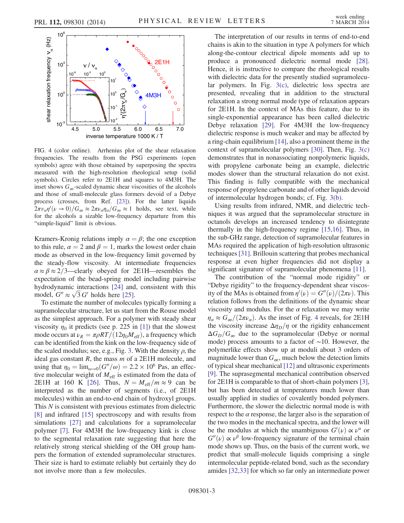<span id="page-2-0"></span>

FIG. 4 (color online). Arrhenius plot of the shear relaxation frequencies. The results from the PSG experiments (open symbols) agree with those obtained by superposing the spectra measured with the high-resolution rheological setup (solid symbols). Circles refer to 2E1H and squares to 4M3H. The inset shows  $G_{\infty}$ -scaled dynamic shear viscosities of the alcohols and those of small-molecule glass formers devoid of a Debye process (crosses, from Ref. [\[23\]\)](#page-3-12). For the latter liquids  $2\pi v_\alpha \eta'(\nu \to 0)/G_\infty \approx 2\pi \nu_\alpha \eta_\alpha/G_\infty \approx 1$  holds, see text, while for the alcohols a sizable low-frequency departure from this "simple-liquid" limit is obvious.

Kramers-Kronig relations imply  $\alpha = \beta$ ; the one exception to this rule,  $\alpha = 2$  and  $\beta = 1$ , marks the lowest order chain mode as observed in the low-frequency limit governed by the steady-flow viscosity. At intermediate frequencies  $\alpha \approx \beta \approx 2/3$ —clearly obeyed for 2E1H—resembles the expectation of the bead-spring model including pairwise hydrodynamic interactions [\[24\]](#page-3-14) and, consistent with this hydrodynamic interactions [24] and<br>model,  $G'' \approx \sqrt{3} G'$  holds here [\[25\].](#page-3-15)

To estimate the number of molecules typically forming a supramolecular structure, let us start from the Rouse model as the simplest approach. For a polymer with steady shear viscosity  $\eta_0$  it predicts (see p. 225 in [\[1\]](#page-3-1)) that the slowest mode occurs at  $\nu_R = \pi \rho RT/(12\eta_0 M_{\text{eff}})$ , a frequency which can be identified from the kink on the low-frequency side of the scaled modulus; see, e.g., Fig. [3](#page-1-2). With the density  $\rho$ , the ideal gas constant  $R$ , the mass  $m$  of a 2E1H molecule, and using that  $\eta_0 = \lim_{\omega \to 0} (G''/\omega) = 2.2 \times 10^6$  Pas, an effective molecular weight of  $M_{\text{eff}}$  is estimated from the data of 2E1H at 160 K [\[26\].](#page-3-16) Thus,  $N = M_{\text{eff}}/m \approx 9$  can be interpreted as the number of segments (i.e., of 2E1H molecules) within an end-to-end chain of hydroxyl groups. This  $N$  is consistent with previous estimates from dielectric [\[8\]](#page-3-5) and infrared [\[15\]](#page-3-17) spectroscopy and with results from simulations [\[27\]](#page-3-18) and calculations for a supramolecular polymer [\[7\].](#page-3-4) For 4M3H the low-frequency kink is close to the segmental relaxation rate suggesting that here the relatively strong sterical shielding of the OH group hampers the formation of extended supramolecular structures. Their size is hard to estimate reliably but certainly they do not involve more than a few molecules.

The interpretation of our results in terms of end-to-end chains is akin to the situation in type A polymers for which along-the-contour electrical dipole moments add up to produce a pronounced dielectric normal mode [\[28\]](#page-3-19). Hence, it is instructive to compare the rheological results with dielectric data for the presently studied supramolecular polymers. In Fig. [3\(c\),](#page-1-2) dielectric loss spectra are presented, revealing that in addition to the structural relaxation a strong normal mode type of relaxation appears for 2E1H. In the context of MAs this feature, due to its single-exponential appearance has been called dielectric Debye relaxation [\[29\].](#page-3-20) For 4M3H the low-frequency dielectric response is much weaker and may be affected by a ring-chain equilibrium [\[14\]](#page-3-21), also a prominent theme in the context of supramolecular polymers [\[30\].](#page-3-22) Then, Fig. [3\(c\)](#page-1-2) demonstrates that in nonassociating nonpolymeric liquids, with propylene carbonate being an example, dielectric modes slower than the structural relaxation do not exist. This finding is fully compatible with the mechanical response of propylene carbonate and of other liquids devoid of intermolecular hydrogen bonds; cf. Fig. [3\(b\)](#page-1-2).

Using results from infrared, NMR, and dielectric techniques it was argued that the supramolecular structure in octanols develops an increased tendency to disintegrate thermally in the high-frequency regime [\[15,16\].](#page-3-17) Thus, in the sub-GHz range, detection of supramolecular features in MAs required the application of high-resolution ultrasonic techniques [\[31\].](#page-3-23) Brillouin scattering that probes mechanical response at even higher frequencies did not display a significant signature of supramolecular phenomena [\[11\].](#page-3-24)

The contribution of the "normal mode rigidity" or "Debye rigidity" to the frequency-dependent shear viscosity of the MAs is obtained from  $\eta'(\nu) = G''(\nu)/(2\pi\nu)$ . This relation follows from the definitions of the dynamic shear viscosity and modulus. For the  $\alpha$  relaxation we may write  $\eta_{\alpha} \approx G_{\infty}/(2\pi\nu_{\alpha})$ . As the inset of Fig. [4](#page-2-0) reveals, for 2E1H the viscosity increase  $\Delta\eta_D/\eta$  or the rigidity enhancement  $\Delta G_D/G_{\infty}$  due to the supramolecular (Debye or normal mode) process amounts to a factor of ∼10. However, the polymerlike effects show up at moduli about 3 orders of magnitude lower than  $G_{\infty}$ , much below the detection limits of typical shear mechanical [\[12\]](#page-3-7) and ultrasonic experiments [\[9\]](#page-3-6). The suprasegmental mechanical contribution observed for 2E1H is comparable to that of short-chain polymers [\[3\]](#page-3-13), but has been detected at temperatures much lower than usually applied in studies of covalently bonded polymers. Furthermore, the slower the dielectric normal mode is with respect to the  $\alpha$  response, the larger also is the separation of the two modes in the mechanical spectra, and the lower will be the modulus at which the unambiguous  $G'(\nu) \propto \nu^{\alpha}$  or  $G''(\nu) \propto \nu^{\beta}$  low-frequency signature of the terminal chain mode shows up. Thus, on the basis of the current work, we predict that small-molecule liquids comprising a single intermolecular peptide-related bond, such as the secondary amides [\[32,33\]](#page-3-25) for which so far only an intermediate power